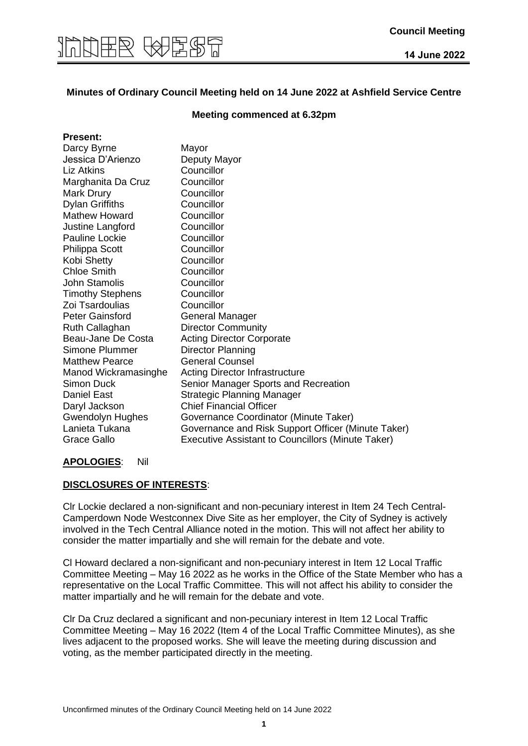

#### **Minutes of Ordinary Council Meeting held on 14 June 2022 at Ashfield Service Centre**

#### **Meeting commenced at 6.32pm**

| <b>Present:</b>         |                                                          |
|-------------------------|----------------------------------------------------------|
| Darcy Byrne             | Mayor                                                    |
| Jessica D'Arienzo       | Deputy Mayor                                             |
| <b>Liz Atkins</b>       | Councillor                                               |
| Marghanita Da Cruz      | Councillor                                               |
| <b>Mark Drury</b>       | Councillor                                               |
| <b>Dylan Griffiths</b>  | Councillor                                               |
| <b>Mathew Howard</b>    | Councillor                                               |
| Justine Langford        | Councillor                                               |
| Pauline Lockie          | Councillor                                               |
| Philippa Scott          | Councillor                                               |
| Kobi Shetty             | Councillor                                               |
| <b>Chloe Smith</b>      | Councillor                                               |
| <b>John Stamolis</b>    | Councillor                                               |
| <b>Timothy Stephens</b> | Councillor                                               |
| Zoi Tsardoulias         | Councillor                                               |
| <b>Peter Gainsford</b>  | <b>General Manager</b>                                   |
| Ruth Callaghan          | <b>Director Community</b>                                |
| Beau-Jane De Costa      | <b>Acting Director Corporate</b>                         |
| Simone Plummer          | <b>Director Planning</b>                                 |
| <b>Matthew Pearce</b>   | <b>General Counsel</b>                                   |
| Manod Wickramasinghe    | <b>Acting Director Infrastructure</b>                    |
| <b>Simon Duck</b>       | Senior Manager Sports and Recreation                     |
| <b>Daniel East</b>      | <b>Strategic Planning Manager</b>                        |
| Daryl Jackson           | <b>Chief Financial Officer</b>                           |
| Gwendolyn Hughes        | Governance Coordinator (Minute Taker)                    |
| Lanieta Tukana          | Governance and Risk Support Officer (Minute Taker)       |
| Grace Gallo             | <b>Executive Assistant to Councillors (Minute Taker)</b> |

#### **APOLOGIES**: Nil

#### **DISCLOSURES OF INTERESTS**:

Clr Lockie declared a non-significant and non-pecuniary interest in Item 24 Tech Central-Camperdown Node Westconnex Dive Site as her employer, the City of Sydney is actively involved in the Tech Central Alliance noted in the motion. This will not affect her ability to consider the matter impartially and she will remain for the debate and vote.

Cl Howard declared a non-significant and non-pecuniary interest in Item 12 Local Traffic Committee Meeting – May 16 2022 as he works in the Office of the State Member who has a representative on the Local Traffic Committee. This will not affect his ability to consider the matter impartially and he will remain for the debate and vote.

Clr Da Cruz declared a significant and non-pecuniary interest in Item 12 Local Traffic Committee Meeting – May 16 2022 (Item 4 of the Local Traffic Committee Minutes), as she lives adjacent to the proposed works. She will leave the meeting during discussion and voting, as the member participated directly in the meeting.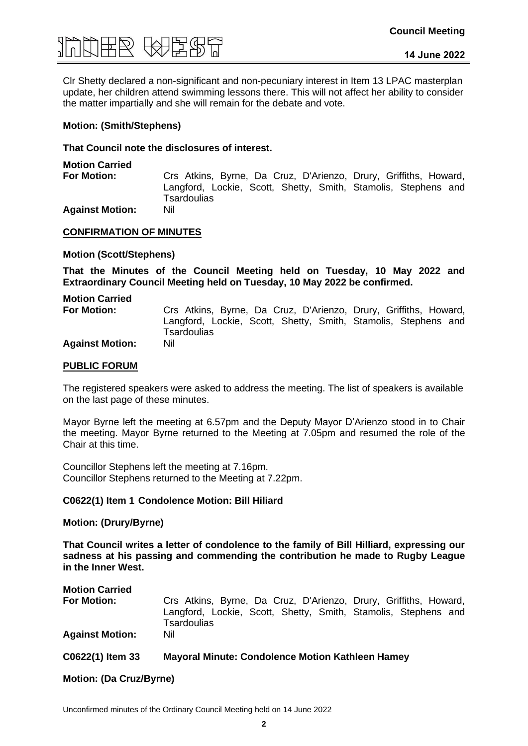

Clr Shetty declared a non-significant and non-pecuniary interest in Item 13 LPAC masterplan update, her children attend swimming lessons there. This will not affect her ability to consider the matter impartially and she will remain for the debate and vote.

#### **Motion: (Smith/Stephens)**

#### **That Council note the disclosures of interest.**

**Motion Carried**

**For Motion:** Crs Atkins, Byrne, Da Cruz, D'Arienzo, Drury, Griffiths, Howard, Langford, Lockie, Scott, Shetty, Smith, Stamolis, Stephens and **Tsardoulias** 

**Against Motion:** Nil

#### **CONFIRMATION OF MINUTES**

#### **Motion (Scott/Stephens)**

**That the Minutes of the Council Meeting held on Tuesday, 10 May 2022 and Extraordinary Council Meeting held on Tuesday, 10 May 2022 be confirmed.**

**Motion Carried For Motion:** Crs Atkins, Byrne, Da Cruz, D'Arienzo, Drury, Griffiths, Howard, Langford, Lockie, Scott, Shetty, Smith, Stamolis, Stephens and **Tsardoulias Against Motion:** Nil

#### **PUBLIC FORUM**

The registered speakers were asked to address the meeting. The list of speakers is available on the last page of these minutes.

Mayor Byrne left the meeting at 6.57pm and the Deputy Mayor D'Arienzo stood in to Chair the meeting. Mayor Byrne returned to the Meeting at 7.05pm and resumed the role of the Chair at this time.

Councillor Stephens left the meeting at 7.16pm. Councillor Stephens returned to the Meeting at 7.22pm.

#### **C0622(1) Item 1 Condolence Motion: Bill Hiliard**

#### **Motion: (Drury/Byrne)**

**That Council writes a letter of condolence to the family of Bill Hilliard, expressing our sadness at his passing and commending the contribution he made to Rugby League in the Inner West.**

| <b>Motion Carried</b>  |                                                                               |
|------------------------|-------------------------------------------------------------------------------|
| <b>For Motion:</b>     | Crs Atkins, Byrne, Da Cruz, D'Arienzo, Drury, Griffiths, Howard,              |
|                        | Langford, Lockie, Scott, Shetty, Smith, Stamolis, Stephens and<br>Tsardoulias |
| <b>Against Motion:</b> | Nil                                                                           |
|                        |                                                                               |

### **C0622(1) Item 33 Mayoral Minute: Condolence Motion Kathleen Hamey**

**Motion: (Da Cruz/Byrne)**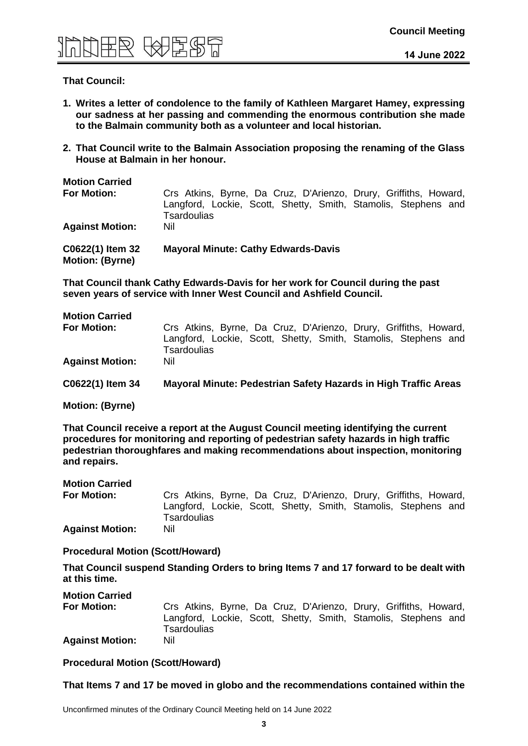

#### **That Council:**

- **1. Writes a letter of condolence to the family of Kathleen Margaret Hamey, expressing our sadness at her passing and commending the enormous contribution she made to the Balmain community both as a volunteer and local historian.**
- **2. That Council write to the Balmain Association proposing the renaming of the Glass House at Balmain in her honour.**

| <b>Motion Carried</b>                      |                                                                                                                                                   |
|--------------------------------------------|---------------------------------------------------------------------------------------------------------------------------------------------------|
| <b>For Motion:</b>                         | Crs Atkins, Byrne, Da Cruz, D'Arienzo, Drury, Griffiths, Howard,<br>Langford, Lockie, Scott, Shetty, Smith, Stamolis, Stephens and<br>Tsardoulias |
| <b>Against Motion:</b>                     | Nil                                                                                                                                               |
| C0622(1) Item 32<br><b>Motion: (Byrne)</b> | <b>Mayoral Minute: Cathy Edwards-Davis</b>                                                                                                        |

**That Council thank Cathy Edwards-Davis for her work for Council during the past seven years of service with Inner West Council and Ashfield Council.** 

| <b>Motion Carried</b><br><b>For Motion:</b> | Crs Atkins, Byrne, Da Cruz, D'Arienzo, Drury, Griffiths, Howard,<br>Langford, Lockie, Scott, Shetty, Smith, Stamolis, Stephens and<br>Tsardoulias |
|---------------------------------------------|---------------------------------------------------------------------------------------------------------------------------------------------------|
| <b>Against Motion:</b>                      | Nil                                                                                                                                               |
| C0622(1) Item 34                            | Mayoral Minute: Pedestrian Safety Hazards in High Traffic Areas                                                                                   |
| <b>Motion: (Byrne)</b>                      |                                                                                                                                                   |

**That Council receive a report at the August Council meeting identifying the current procedures for monitoring and reporting of pedestrian safety hazards in high traffic pedestrian thoroughfares and making recommendations about inspection, monitoring and repairs.**

| <b>Motion Carried</b>  |                                                                                      |
|------------------------|--------------------------------------------------------------------------------------|
| For Motion:            | Crs Atkins, Byrne, Da Cruz, D'Arienzo, Drury, Griffiths, Howard,                     |
|                        | Langford, Lockie, Scott, Shetty, Smith, Stamolis, Stephens and<br><b>Tsardoulias</b> |
|                        |                                                                                      |
| <b>Against Motion:</b> | Nil                                                                                  |

#### **Procedural Motion (Scott/Howard)**

**That Council suspend Standing Orders to bring Items 7 and 17 forward to be dealt with at this time.**

| <b>Motion Carried</b>  |                                                                                      |
|------------------------|--------------------------------------------------------------------------------------|
| <b>For Motion:</b>     | Crs Atkins, Byrne, Da Cruz, D'Arienzo, Drury, Griffiths, Howard,                     |
|                        | Langford, Lockie, Scott, Shetty, Smith, Stamolis, Stephens and<br><b>Tsardoulias</b> |
| <b>Against Motion:</b> | Nil                                                                                  |

**Procedural Motion (Scott/Howard)**

#### **That Items 7 and 17 be moved in globo and the recommendations contained within the**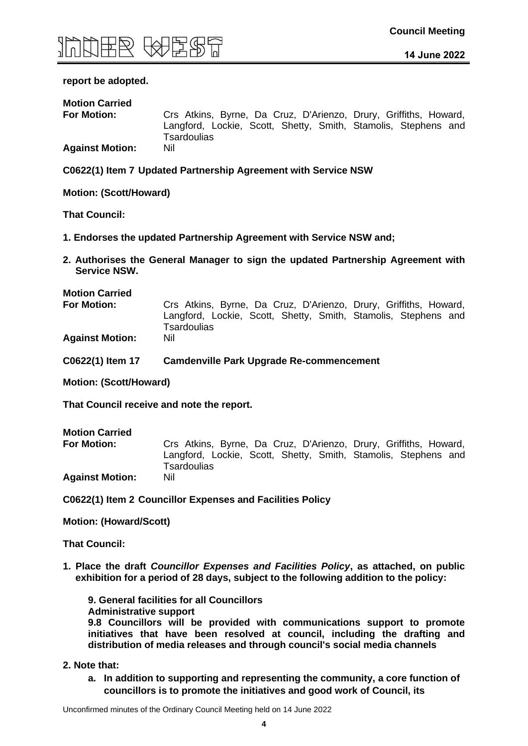

#### **report be adopted.**

| <b>Motion Carried</b>  |                                                                                      |
|------------------------|--------------------------------------------------------------------------------------|
| <b>For Motion:</b>     | Crs Atkins, Byrne, Da Cruz, D'Arienzo, Drury, Griffiths, Howard,                     |
|                        | Langford, Lockie, Scott, Shetty, Smith, Stamolis, Stephens and<br><b>Tsardoulias</b> |
| <b>Against Motion:</b> | Nil                                                                                  |

**C0622(1) Item 7 Updated Partnership Agreement with Service NSW**

**Motion: (Scott/Howard)**

**That Council:**

- **1. Endorses the updated Partnership Agreement with Service NSW and;**
- **2. Authorises the General Manager to sign the updated Partnership Agreement with Service NSW.**

**Motion Carried**

**For Motion:** Crs Atkins, Byrne, Da Cruz, D'Arienzo, Drury, Griffiths, Howard, Langford, Lockie, Scott, Shetty, Smith, Stamolis, Stephens and **Tsardoulias** 

**Against Motion:** Nil

**C0622(1) Item 17 Camdenville Park Upgrade Re-commencement**

**Motion: (Scott/Howard)** 

**That Council receive and note the report.**

| <b>Motion Carried</b>  |                                                                               |
|------------------------|-------------------------------------------------------------------------------|
| For Motion:            | Crs Atkins, Byrne, Da Cruz, D'Arienzo, Drury, Griffiths, Howard,              |
|                        | Langford, Lockie, Scott, Shetty, Smith, Stamolis, Stephens and<br>Tsardoulias |
| <b>Against Motion:</b> | Nil                                                                           |

**C0622(1) Item 2 Councillor Expenses and Facilities Policy**

**Motion: (Howard/Scott)** 

**That Council:**

**1. Place the draft** *Councillor Expenses and Facilities Policy***, as attached, on public exhibition for a period of 28 days, subject to the following addition to the policy:**

**9. General facilities for all Councillors Administrative support 9.8 Councillors will be provided with communications support to promote initiatives that have been resolved at council, including the drafting and distribution of media releases and through council's social media channels**

- **2. Note that:**
	- **a. In addition to supporting and representing the community, a core function of councillors is to promote the initiatives and good work of Council, its**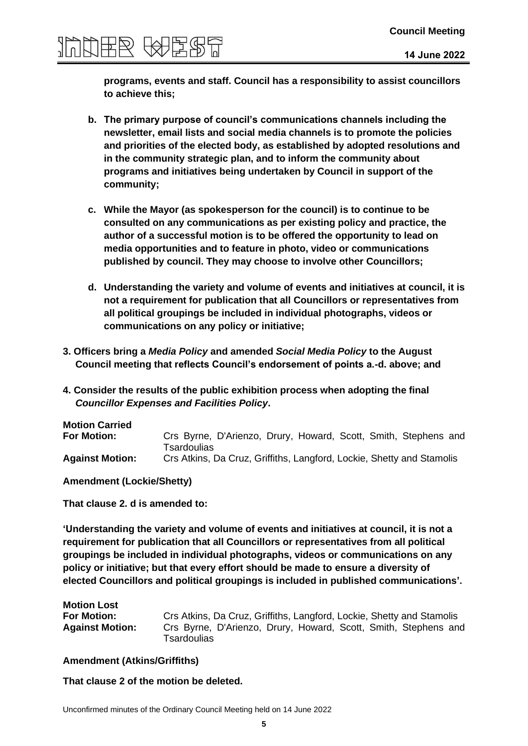**programs, events and staff. Council has a responsibility to assist councillors to achieve this;**

- **b. The primary purpose of council's communications channels including the newsletter, email lists and social media channels is to promote the policies and priorities of the elected body, as established by adopted resolutions and in the community strategic plan, and to inform the community about programs and initiatives being undertaken by Council in support of the community;**
- **c. While the Mayor (as spokesperson for the council) is to continue to be consulted on any communications as per existing policy and practice, the author of a successful motion is to be offered the opportunity to lead on media opportunities and to feature in photo, video or communications published by council. They may choose to involve other Councillors;**
- **d. Understanding the variety and volume of events and initiatives at council, it is not a requirement for publication that all Councillors or representatives from all political groupings be included in individual photographs, videos or communications on any policy or initiative;**
- **3. Officers bring a** *Media Policy* **and amended** *Social Media Policy* **to the August Council meeting that reflects Council's endorsement of points a.-d. above; and**
- **4. Consider the results of the public exhibition process when adopting the final**  *Councillor Expenses and Facilities Policy***.**

| <b>Motion Carried</b>  |                                                                                |
|------------------------|--------------------------------------------------------------------------------|
| <b>For Motion:</b>     | Crs Byrne, D'Arienzo, Drury, Howard, Scott, Smith, Stephens and<br>Tsardoulias |
| <b>Against Motion:</b> | Crs Atkins, Da Cruz, Griffiths, Langford, Lockie, Shetty and Stamolis          |

**Amendment (Lockie/Shetty)**

**That clause 2. d is amended to:**

**'Understanding the variety and volume of events and initiatives at council, it is not a requirement for publication that all Councillors or representatives from all political groupings be included in individual photographs, videos or communications on any policy or initiative; but that every effort should be made to ensure a diversity of elected Councillors and political groupings is included in published communications'.**

| <b>Motion Lost</b>     |                                                                                |
|------------------------|--------------------------------------------------------------------------------|
| <b>For Motion:</b>     | Crs Atkins, Da Cruz, Griffiths, Langford, Lockie, Shetty and Stamolis          |
| <b>Against Motion:</b> | Crs Byrne, D'Arienzo, Drury, Howard, Scott, Smith, Stephens and<br>Tsardoulias |

#### **Amendment (Atkins/Griffiths)**

**That clause 2 of the motion be deleted.**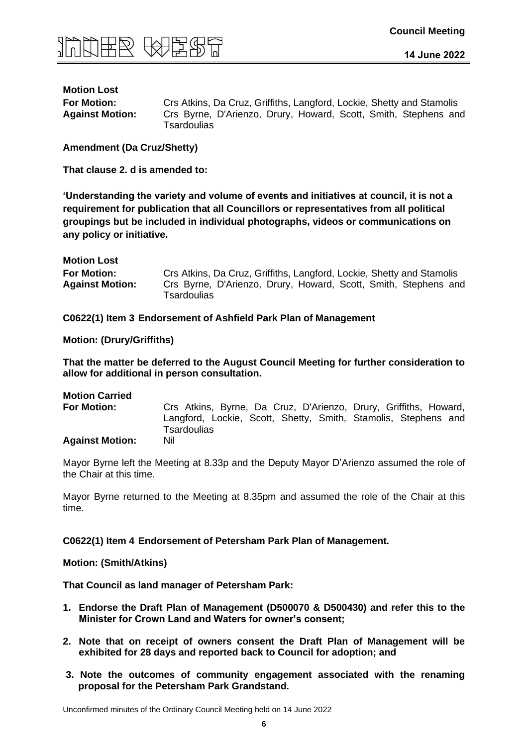

# **Motion Lost**

**For Motion:** Crs Atkins, Da Cruz, Griffiths, Langford, Lockie, Shetty and Stamolis **Against Motion:** Crs Byrne, D'Arienzo, Drury, Howard, Scott, Smith, Stephens and **Tsardoulias** 

**Amendment (Da Cruz/Shetty)** 

**That clause 2. d is amended to:**

**'Understanding the variety and volume of events and initiatives at council, it is not a requirement for publication that all Councillors or representatives from all political groupings but be included in individual photographs, videos or communications on any policy or initiative.**

| <b>Motion Lost</b>     |                                                                                |
|------------------------|--------------------------------------------------------------------------------|
| <b>For Motion:</b>     | Crs Atkins, Da Cruz, Griffiths, Langford, Lockie, Shetty and Stamolis          |
| <b>Against Motion:</b> | Crs Byrne, D'Arienzo, Drury, Howard, Scott, Smith, Stephens and<br>Tsardoulias |

**C0622(1) Item 3 Endorsement of Ashfield Park Plan of Management**

**Motion: (Drury/Griffiths)** 

**That the matter be deferred to the August Council Meeting for further consideration to allow for additional in person consultation.**

### **Motion Carried For Motion:** Crs Atkins, Byrne, Da Cruz, D'Arienzo, Drury, Griffiths, Howard, Langford, Lockie, Scott, Shetty, Smith, Stamolis, Stephens and **Tsardoulias Against Motion:** Nil

Mayor Byrne left the Meeting at 8.33p and the Deputy Mayor D'Arienzo assumed the role of the Chair at this time.

Mayor Byrne returned to the Meeting at 8.35pm and assumed the role of the Chair at this time.

**C0622(1) Item 4 Endorsement of Petersham Park Plan of Management.**

**Motion: (Smith/Atkins)** 

**That Council as land manager of Petersham Park:**

- **1. Endorse the Draft Plan of Management (D500070 & D500430) and refer this to the Minister for Crown Land and Waters for owner's consent;**
- **2. Note that on receipt of owners consent the Draft Plan of Management will be exhibited for 28 days and reported back to Council for adoption; and**
- **3. Note the outcomes of community engagement associated with the renaming proposal for the Petersham Park Grandstand.**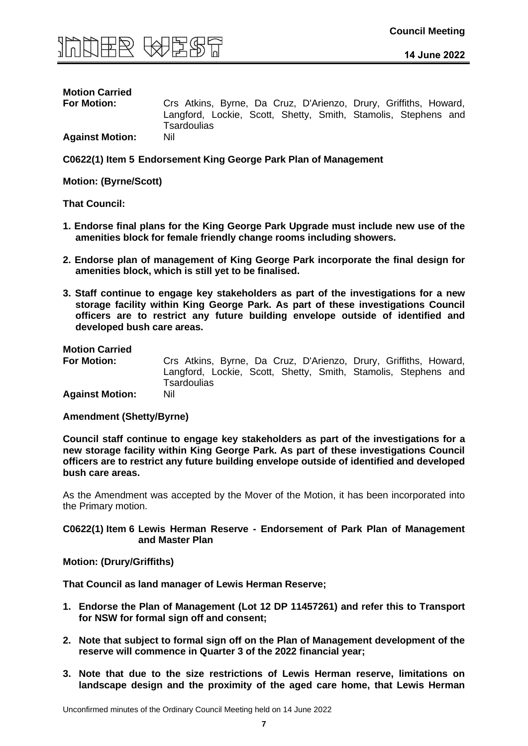

## **Motion Carried**

**For Motion:** Crs Atkins, Byrne, Da Cruz, D'Arienzo, Drury, Griffiths, Howard, Langford, Lockie, Scott, Shetty, Smith, Stamolis, Stephens and **Tsardoulias** 

**Against Motion:** Nil

**C0622(1) Item 5 Endorsement King George Park Plan of Management**

**Motion: (Byrne/Scott)** 

**That Council:**

- **1. Endorse final plans for the King George Park Upgrade must include new use of the amenities block for female friendly change rooms including showers.**
- **2. Endorse plan of management of King George Park incorporate the final design for amenities block, which is still yet to be finalised.**
- **3. Staff continue to engage key stakeholders as part of the investigations for a new storage facility within King George Park. As part of these investigations Council officers are to restrict any future building envelope outside of identified and developed bush care areas.**

**Motion Carried**

**For Motion:** Crs Atkins, Byrne, Da Cruz, D'Arienzo, Drury, Griffiths, Howard, Langford, Lockie, Scott, Shetty, Smith, Stamolis, Stephens and **Tsardoulias Against Motion:** Nil

**Amendment (Shetty/Byrne)** 

**Council staff continue to engage key stakeholders as part of the investigations for a new storage facility within King George Park. As part of these investigations Council officers are to restrict any future building envelope outside of identified and developed bush care areas.**

As the Amendment was accepted by the Mover of the Motion, it has been incorporated into the Primary motion.

**C0622(1) Item 6 Lewis Herman Reserve - Endorsement of Park Plan of Management and Master Plan**

**Motion: (Drury/Griffiths)** 

**That Council as land manager of Lewis Herman Reserve;**

- **1. Endorse the Plan of Management (Lot 12 DP 11457261) and refer this to Transport for NSW for formal sign off and consent;**
- **2. Note that subject to formal sign off on the Plan of Management development of the reserve will commence in Quarter 3 of the 2022 financial year;**
- **3. Note that due to the size restrictions of Lewis Herman reserve, limitations on landscape design and the proximity of the aged care home, that Lewis Herman**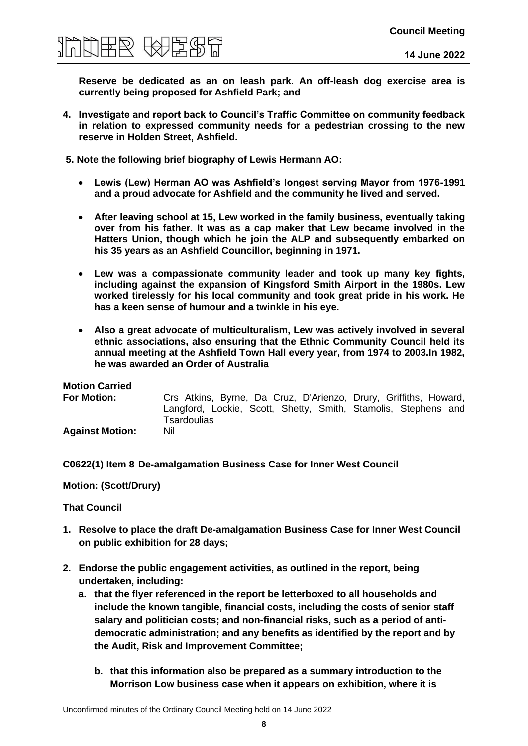

**Reserve be dedicated as an on leash park. An off-leash dog exercise area is currently being proposed for Ashfield Park; and** 

- **4. Investigate and report back to Council's Traffic Committee on community feedback in relation to expressed community needs for a pedestrian crossing to the new reserve in Holden Street, Ashfield.**
- **5. Note the following brief biography of Lewis Hermann AO:**
	- **Lewis (Lew) Herman AO was Ashfield's longest serving Mayor from 1976-1991 and a proud advocate for Ashfield and the community he lived and served.**
	- **After leaving school at 15, Lew worked in the family business, eventually taking over from his father. It was as a cap maker that Lew became involved in the Hatters Union, though which he join the ALP and subsequently embarked on his 35 years as an Ashfield Councillor, beginning in 1971.**
	- **Lew was a compassionate community leader and took up many key fights, including against the expansion of Kingsford Smith Airport in the 1980s. Lew worked tirelessly for his local community and took great pride in his work. He has a keen sense of humour and a twinkle in his eye.**
	- **Also a great advocate of multiculturalism, Lew was actively involved in several ethnic associations, also ensuring that the Ethnic Community Council held its annual meeting at the Ashfield Town Hall every year, from 1974 to 2003.In 1982, he was awarded an Order of Australia**

| <b>Motion Carried</b>  |                                                                               |  |
|------------------------|-------------------------------------------------------------------------------|--|
| <b>For Motion:</b>     | Crs Atkins, Byrne, Da Cruz, D'Arienzo, Drury, Griffiths, Howard,              |  |
|                        | Langford, Lockie, Scott, Shetty, Smith, Stamolis, Stephens and<br>Tsardoulias |  |
| <b>Against Motion:</b> | Nil                                                                           |  |

**C0622(1) Item 8 De-amalgamation Business Case for Inner West Council**

**Motion: (Scott/Drury)** 

- **1. Resolve to place the draft De-amalgamation Business Case for Inner West Council on public exhibition for 28 days;**
- **2. Endorse the public engagement activities, as outlined in the report, being undertaken, including:**
	- **a. that the flyer referenced in the report be letterboxed to all households and include the known tangible, financial costs, including the costs of senior staff salary and politician costs; and non-financial risks, such as a period of antidemocratic administration; and any benefits as identified by the report and by the Audit, Risk and Improvement Committee;**
		- **b. that this information also be prepared as a summary introduction to the Morrison Low business case when it appears on exhibition, where it is**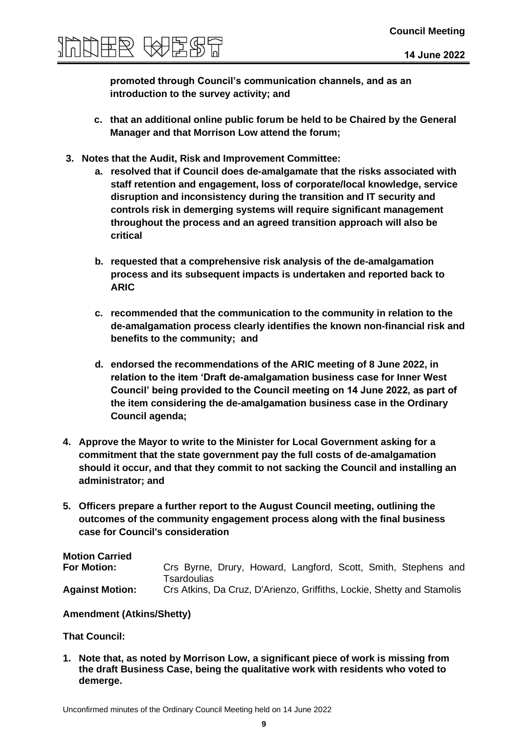

**promoted through Council's communication channels, and as an introduction to the survey activity; and**

- **c. that an additional online public forum be held to be Chaired by the General Manager and that Morrison Low attend the forum;**
- **3. Notes that the Audit, Risk and Improvement Committee:**
	- **a. resolved that if Council does de-amalgamate that the risks associated with staff retention and engagement, loss of corporate/local knowledge, service disruption and inconsistency during the transition and IT security and controls risk in demerging systems will require significant management throughout the process and an agreed transition approach will also be critical**
	- **b. requested that a comprehensive risk analysis of the de-amalgamation process and its subsequent impacts is undertaken and reported back to ARIC**
	- **c. recommended that the communication to the community in relation to the de-amalgamation process clearly identifies the known non-financial risk and benefits to the community; and**
	- **d. endorsed the recommendations of the ARIC meeting of 8 June 2022, in relation to the item 'Draft de-amalgamation business case for Inner West Council' being provided to the Council meeting on 14 June 2022, as part of the item considering the de-amalgamation business case in the Ordinary Council agenda;**
- **4. Approve the Mayor to write to the Minister for Local Government asking for a commitment that the state government pay the full costs of de-amalgamation should it occur, and that they commit to not sacking the Council and installing an administrator; and**
- **5. Officers prepare a further report to the August Council meeting, outlining the outcomes of the community engagement process along with the final business case for Council's consideration**

**Motion Carried For Motion:** Crs Byrne, Drury, Howard, Langford, Scott, Smith, Stephens and **Tsardoulias Against Motion:** Crs Atkins, Da Cruz, D'Arienzo, Griffiths, Lockie, Shetty and Stamolis

#### **Amendment (Atkins/Shetty)**

#### **That Council:**

**1. Note that, as noted by Morrison Low, a significant piece of work is missing from the draft Business Case, being the qualitative work with residents who voted to demerge.**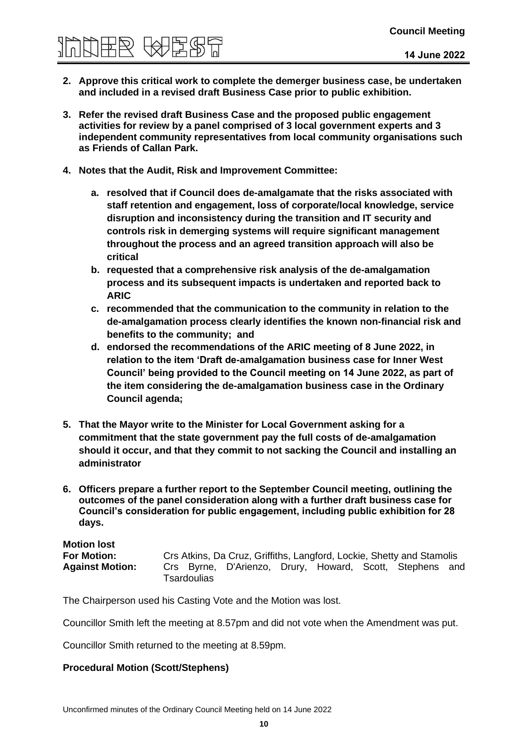# **Council Meeting**

- **2. Approve this critical work to complete the demerger business case, be undertaken and included in a revised draft Business Case prior to public exhibition.**
- **3. Refer the revised draft Business Case and the proposed public engagement activities for review by a panel comprised of 3 local government experts and 3 independent community representatives from local community organisations such as Friends of Callan Park.**
- **4. Notes that the Audit, Risk and Improvement Committee:**
	- **a. resolved that if Council does de-amalgamate that the risks associated with staff retention and engagement, loss of corporate/local knowledge, service disruption and inconsistency during the transition and IT security and controls risk in demerging systems will require significant management throughout the process and an agreed transition approach will also be critical**
	- **b. requested that a comprehensive risk analysis of the de-amalgamation process and its subsequent impacts is undertaken and reported back to ARIC**
	- **c. recommended that the communication to the community in relation to the de-amalgamation process clearly identifies the known non-financial risk and benefits to the community; and**
	- **d. endorsed the recommendations of the ARIC meeting of 8 June 2022, in relation to the item 'Draft de-amalgamation business case for Inner West Council' being provided to the Council meeting on 14 June 2022, as part of the item considering the de-amalgamation business case in the Ordinary Council agenda;**
- **5. That the Mayor write to the Minister for Local Government asking for a commitment that the state government pay the full costs of de-amalgamation should it occur, and that they commit to not sacking the Council and installing an administrator**
- **6. Officers prepare a further report to the September Council meeting, outlining the outcomes of the panel consideration along with a further draft business case for Council's consideration for public engagement, including public exhibition for 28 days.**

**Motion lost For Motion:** Crs Atkins, Da Cruz, Griffiths, Langford, Lockie, Shetty and Stamolis **Against Motion:** Crs Byrne, D'Arienzo, Drury, Howard, Scott, Stephens and **Tsardoulias** 

The Chairperson used his Casting Vote and the Motion was lost.

Councillor Smith left the meeting at 8.57pm and did not vote when the Amendment was put.

Councillor Smith returned to the meeting at 8.59pm.

#### **Procedural Motion (Scott/Stephens)**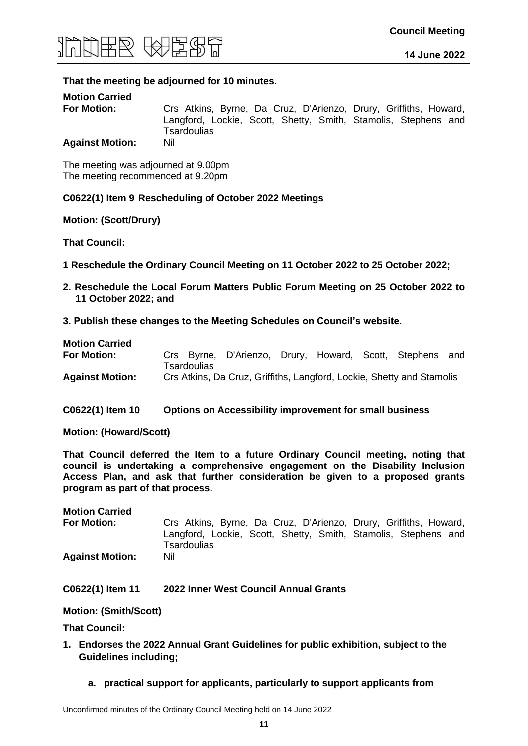

#### **That the meeting be adjourned for 10 minutes.**

| <b>Motion Carried</b>  |                                                                                      |
|------------------------|--------------------------------------------------------------------------------------|
| <b>For Motion:</b>     | Crs Atkins, Byrne, Da Cruz, D'Arienzo, Drury, Griffiths, Howard,                     |
|                        | Langford, Lockie, Scott, Shetty, Smith, Stamolis, Stephens and<br><b>Tsardoulias</b> |
| <b>Against Motion:</b> | Nil                                                                                  |

The meeting was adjourned at 9.00pm The meeting recommenced at 9.20pm

#### **C0622(1) Item 9 Rescheduling of October 2022 Meetings**

#### **Motion: (Scott/Drury)**

**That Council:**

- **1 Reschedule the Ordinary Council Meeting on 11 October 2022 to 25 October 2022;**
- **2. Reschedule the Local Forum Matters Public Forum Meeting on 25 October 2022 to 11 October 2022; and**
- **3. Publish these changes to the Meeting Schedules on Council's website.**

| <b>Motion Carried</b>  |             |                                                                       |  |  |     |
|------------------------|-------------|-----------------------------------------------------------------------|--|--|-----|
| <b>For Motion:</b>     |             | Crs Byrne, D'Arienzo, Drury, Howard, Scott, Stephens                  |  |  | and |
|                        | Tsardoulias |                                                                       |  |  |     |
| <b>Against Motion:</b> |             | Crs Atkins, Da Cruz, Griffiths, Langford, Lockie, Shetty and Stamolis |  |  |     |

**C0622(1) Item 10 Options on Accessibility improvement for small business**

**Motion: (Howard/Scott)** 

**That Council deferred the Item to a future Ordinary Council meeting, noting that council is undertaking a comprehensive engagement on the Disability Inclusion Access Plan, and ask that further consideration be given to a proposed grants program as part of that process.** 

**Motion Carried For Motion:** Crs Atkins, Byrne, Da Cruz, D'Arienzo, Drury, Griffiths, Howard, Langford, Lockie, Scott, Shetty, Smith, Stamolis, Stephens and **Tsardoulias Against Motion:** Nil

#### **C0622(1) Item 11 2022 Inner West Council Annual Grants**

**Motion: (Smith/Scott)** 

- **1. Endorses the 2022 Annual Grant Guidelines for public exhibition, subject to the Guidelines including;**
	- **a. practical support for applicants, particularly to support applicants from**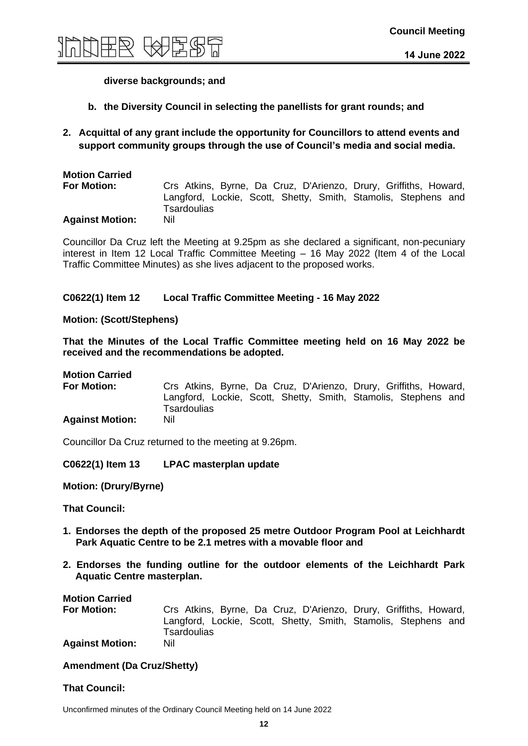

#### **diverse backgrounds; and**

- **b. the Diversity Council in selecting the panellists for grant rounds; and**
- **2. Acquittal of any grant include the opportunity for Councillors to attend events and support community groups through the use of Council's media and social media.**

| <b>Motion Carried</b>  |                                                                               |  |
|------------------------|-------------------------------------------------------------------------------|--|
| <b>For Motion:</b>     | Crs Atkins, Byrne, Da Cruz, D'Arienzo, Drury, Griffiths, Howard,              |  |
|                        | Langford, Lockie, Scott, Shetty, Smith, Stamolis, Stephens and<br>Tsardoulias |  |
| <b>Against Motion:</b> | Nil                                                                           |  |

Councillor Da Cruz left the Meeting at 9.25pm as she declared a significant, non-pecuniary interest in Item 12 Local Traffic Committee Meeting – 16 May 2022 (Item 4 of the Local Traffic Committee Minutes) as she lives adjacent to the proposed works.

#### **C0622(1) Item 12 Local Traffic Committee Meeting - 16 May 2022**

#### **Motion: (Scott/Stephens)**

**That the Minutes of the Local Traffic Committee meeting held on 16 May 2022 be received and the recommendations be adopted.**

#### **Motion Carried**

**For Motion:** Crs Atkins, Byrne, Da Cruz, D'Arienzo, Drury, Griffiths, Howard, Langford, Lockie, Scott, Shetty, Smith, Stamolis, Stephens and **Tsardoulias Against Motion:** Nil

Councillor Da Cruz returned to the meeting at 9.26pm.

#### **C0622(1) Item 13 LPAC masterplan update**

**Motion: (Drury/Byrne)** 

**That Council:**

- **1. Endorses the depth of the proposed 25 metre Outdoor Program Pool at Leichhardt Park Aquatic Centre to be 2.1 metres with a movable floor and**
- **2. Endorses the funding outline for the outdoor elements of the Leichhardt Park Aquatic Centre masterplan.**

**Motion Carried**

**For Motion:** Crs Atkins, Byrne, Da Cruz, D'Arienzo, Drury, Griffiths, Howard, Langford, Lockie, Scott, Shetty, Smith, Stamolis, Stephens and **Tsardoulias Against Motion:** Nil

#### **Amendment (Da Cruz/Shetty)**

#### **That Council:**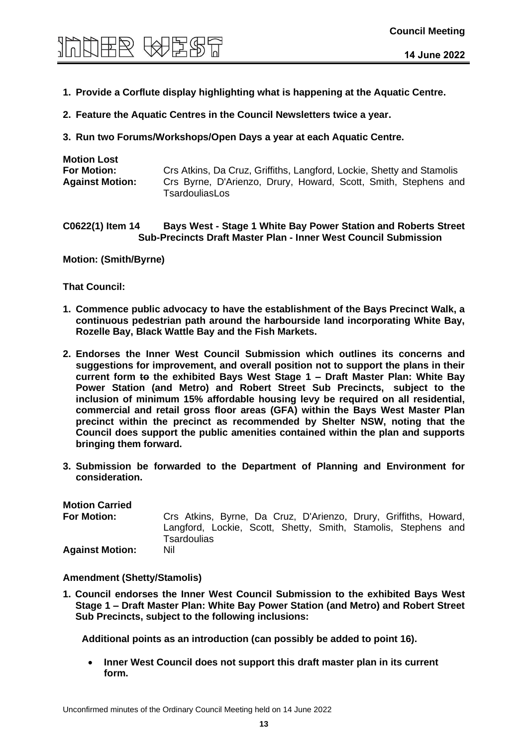# **Council Meeting**

- **1. Provide a Corflute display highlighting what is happening at the Aquatic Centre.**
- **2. Feature the Aquatic Centres in the Council Newsletters twice a year.**
- **3. Run two Forums/Workshops/Open Days a year at each Aquatic Centre.**

| Crs Atkins, Da Cruz, Griffiths, Langford, Lockie, Shetty and Stamolis             |
|-----------------------------------------------------------------------------------|
| Crs Byrne, D'Arienzo, Drury, Howard, Scott, Smith, Stephens and<br>TsardouliasLos |
|                                                                                   |

#### **C0622(1) Item 14 Bays West - Stage 1 White Bay Power Station and Roberts Street Sub-Precincts Draft Master Plan - Inner West Council Submission**

**Motion: (Smith/Byrne)** 

**That Council:** 

- **1. Commence public advocacy to have the establishment of the Bays Precinct Walk, a continuous pedestrian path around the harbourside land incorporating White Bay, Rozelle Bay, Black Wattle Bay and the Fish Markets.**
- **2. Endorses the Inner West Council Submission which outlines its concerns and suggestions for improvement, and overall position not to support the plans in their current form to the exhibited Bays West Stage 1 – Draft Master Plan: White Bay Power Station (and Metro) and Robert Street Sub Precincts, subject to the inclusion of minimum 15% affordable housing levy be required on all residential, commercial and retail gross floor areas (GFA) within the Bays West Master Plan precinct within the precinct as recommended by Shelter NSW, noting that the Council does support the public amenities contained within the plan and supports bringing them forward.**
- **3. Submission be forwarded to the Department of Planning and Environment for consideration.**

| <b>Motion Carried</b>  |                                                                                      |  |
|------------------------|--------------------------------------------------------------------------------------|--|
| <b>For Motion:</b>     | Crs Atkins, Byrne, Da Cruz, D'Arienzo, Drury, Griffiths, Howard,                     |  |
|                        | Langford, Lockie, Scott, Shetty, Smith, Stamolis, Stephens and<br><b>Tsardoulias</b> |  |
| <b>Against Motion:</b> | Nil                                                                                  |  |

#### **Amendment (Shetty/Stamolis)**

**1. Council endorses the Inner West Council Submission to the exhibited Bays West Stage 1 – Draft Master Plan: White Bay Power Station (and Metro) and Robert Street Sub Precincts, subject to the following inclusions:** 

**Additional points as an introduction (can possibly be added to point 16).**

• **Inner West Council does not support this draft master plan in its current form.**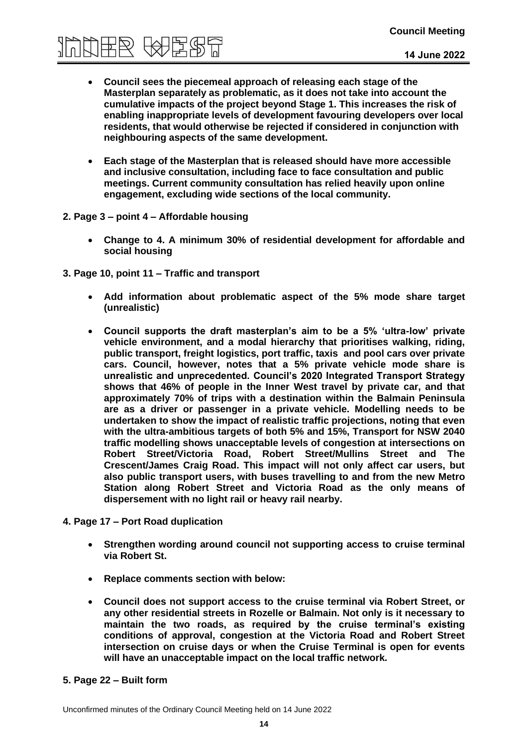# **Council Meeting**<br>第四天的同一个小时间

- **Council sees the piecemeal approach of releasing each stage of the Masterplan separately as problematic, as it does not take into account the cumulative impacts of the project beyond Stage 1. This increases the risk of enabling inappropriate levels of development favouring developers over local residents, that would otherwise be rejected if considered in conjunction with neighbouring aspects of the same development.**
- **Each stage of the Masterplan that is released should have more accessible and inclusive consultation, including face to face consultation and public meetings. Current community consultation has relied heavily upon online engagement, excluding wide sections of the local community.**
- **2. Page 3 – point 4 – Affordable housing**
	- **Change to 4. A minimum 30% of residential development for affordable and social housing**
- **3. Page 10, point 11 – Traffic and transport**
	- **Add information about problematic aspect of the 5% mode share target (unrealistic)**
	- **Council supports the draft masterplan's aim to be a 5% 'ultra-low' private vehicle environment, and a modal hierarchy that prioritises walking, riding, public transport, freight logistics, port traffic, taxis and pool cars over private cars. Council, however, notes that a 5% private vehicle mode share is unrealistic and unprecedented. Council's 2020 Integrated Transport Strategy shows that 46% of people in the Inner West travel by private car, and that approximately 70% of trips with a destination within the Balmain Peninsula are as a driver or passenger in a private vehicle. Modelling needs to be undertaken to show the impact of realistic traffic projections, noting that even with the ultra-ambitious targets of both 5% and 15%, Transport for NSW 2040 traffic modelling shows unacceptable levels of congestion at intersections on Robert Street/Victoria Road, Robert Street/Mullins Street and The Crescent/James Craig Road. This impact will not only affect car users, but also public transport users, with buses travelling to and from the new Metro Station along Robert Street and Victoria Road as the only means of dispersement with no light rail or heavy rail nearby.**
- **4. Page 17 – Port Road duplication**
	- **Strengthen wording around council not supporting access to cruise terminal via Robert St.**
	- **Replace comments section with below:**
	- **Council does not support access to the cruise terminal via Robert Street, or any other residential streets in Rozelle or Balmain. Not only is it necessary to maintain the two roads, as required by the cruise terminal's existing conditions of approval, congestion at the Victoria Road and Robert Street intersection on cruise days or when the Cruise Terminal is open for events will have an unacceptable impact on the local traffic network.**

#### **5. Page 22 – Built form**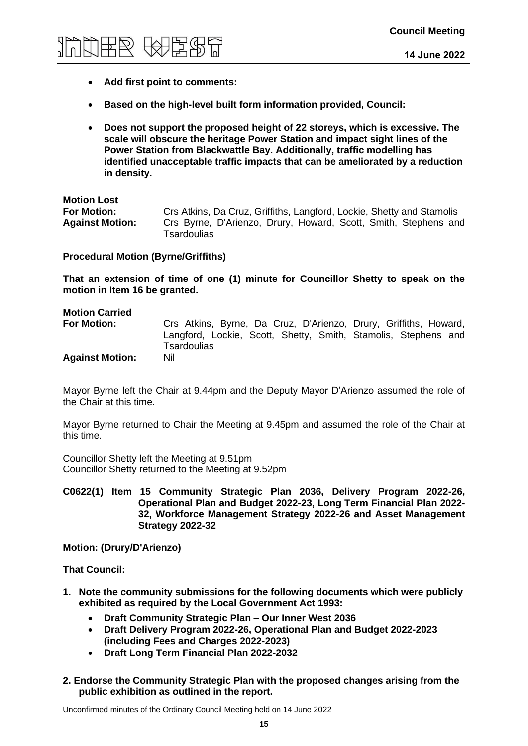

- **Add first point to comments:**
- **Based on the high-level built form information provided, Council:**
- **Does not support the proposed height of 22 storeys, which is excessive. The scale will obscure the heritage Power Station and impact sight lines of the Power Station from Blackwattle Bay. Additionally, traffic modelling has identified unacceptable traffic impacts that can be ameliorated by a reduction in density.**

| <b>Motion Lost</b>     |                                                                                |
|------------------------|--------------------------------------------------------------------------------|
| <b>For Motion:</b>     | Crs Atkins, Da Cruz, Griffiths, Langford, Lockie, Shetty and Stamolis          |
| <b>Against Motion:</b> | Crs Byrne, D'Arienzo, Drury, Howard, Scott, Smith, Stephens and<br>Tsardoulias |

**Procedural Motion (Byrne/Griffiths)** 

**That an extension of time of one (1) minute for Councillor Shetty to speak on the motion in Item 16 be granted.**

### **Motion Carried For Motion:** Crs Atkins, Byrne, Da Cruz, D'Arienzo, Drury, Griffiths, Howard, Langford, Lockie, Scott, Shetty, Smith, Stamolis, Stephens and **Tsardoulias Against Motion:** Nil

Mayor Byrne left the Chair at 9.44pm and the Deputy Mayor D'Arienzo assumed the role of the Chair at this time.

Mayor Byrne returned to Chair the Meeting at 9.45pm and assumed the role of the Chair at this time.

Councillor Shetty left the Meeting at 9.51pm Councillor Shetty returned to the Meeting at 9.52pm

**C0622(1) Item 15 Community Strategic Plan 2036, Delivery Program 2022-26, Operational Plan and Budget 2022-23, Long Term Financial Plan 2022- 32, Workforce Management Strategy 2022-26 and Asset Management Strategy 2022-32**

**Motion: (Drury/D'Arienzo)** 

**That Council:**

- **1. Note the community submissions for the following documents which were publicly exhibited as required by the Local Government Act 1993:**
	- **Draft Community Strategic Plan – Our Inner West 2036**
	- **Draft Delivery Program 2022-26, Operational Plan and Budget 2022-2023 (including Fees and Charges 2022-2023)**
	- **Draft Long Term Financial Plan 2022-2032**
- **2. Endorse the Community Strategic Plan with the proposed changes arising from the public exhibition as outlined in the report.**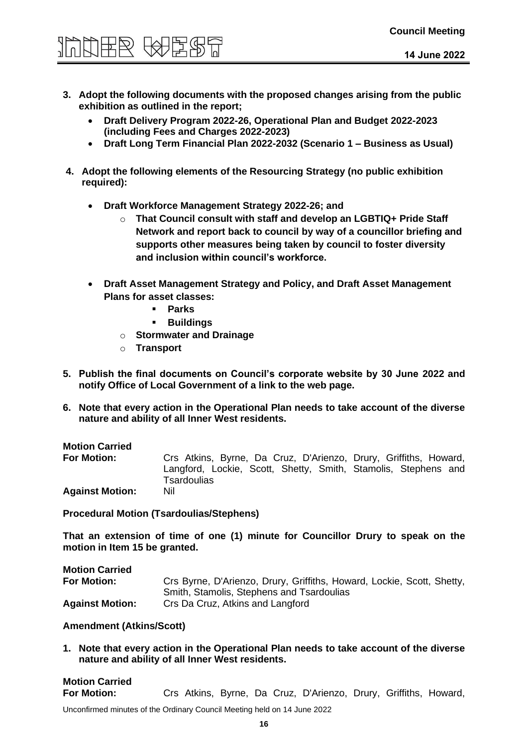# **Council Meeting**

- **3. Adopt the following documents with the proposed changes arising from the public exhibition as outlined in the report;**
	- **Draft Delivery Program 2022-26, Operational Plan and Budget 2022-2023 (including Fees and Charges 2022-2023)**
	- **Draft Long Term Financial Plan 2022-2032 (Scenario 1 – Business as Usual)**
- **4. Adopt the following elements of the Resourcing Strategy (no public exhibition required):**
	- **Draft Workforce Management Strategy 2022-26; and**
		- o **That Council consult with staff and develop an LGBTIQ+ Pride Staff Network and report back to council by way of a councillor briefing and supports other measures being taken by council to foster diversity and inclusion within council's workforce.**
	- **Draft Asset Management Strategy and Policy, and Draft Asset Management Plans for asset classes:**
		- **Parks**
		- **Buildings**
		- o **Stormwater and Drainage**
		- o **Transport**
- **5. Publish the final documents on Council's corporate website by 30 June 2022 and notify Office of Local Government of a link to the web page.**
- **6. Note that every action in the Operational Plan needs to take account of the diverse nature and ability of all Inner West residents.**

#### **Motion Carried**

**For Motion:** Crs Atkins, Byrne, Da Cruz, D'Arienzo, Drury, Griffiths, Howard, Langford, Lockie, Scott, Shetty, Smith, Stamolis, Stephens and **Tsardoulias Against Motion:** Nil

**Procedural Motion (Tsardoulias/Stephens)** 

**That an extension of time of one (1) minute for Councillor Drury to speak on the motion in Item 15 be granted.**

**Motion Carried For Motion:** Crs Byrne, D'Arienzo, Drury, Griffiths, Howard, Lockie, Scott, Shetty, Smith, Stamolis, Stephens and Tsardoulias **Against Motion:** Crs Da Cruz, Atkins and Langford

#### **Amendment (Atkins/Scott)**

**1. Note that every action in the Operational Plan needs to take account of the diverse nature and ability of all Inner West residents.**

### **Motion Carried For Motion:** Crs Atkins, Byrne, Da Cruz, D'Arienzo, Drury, Griffiths, Howard,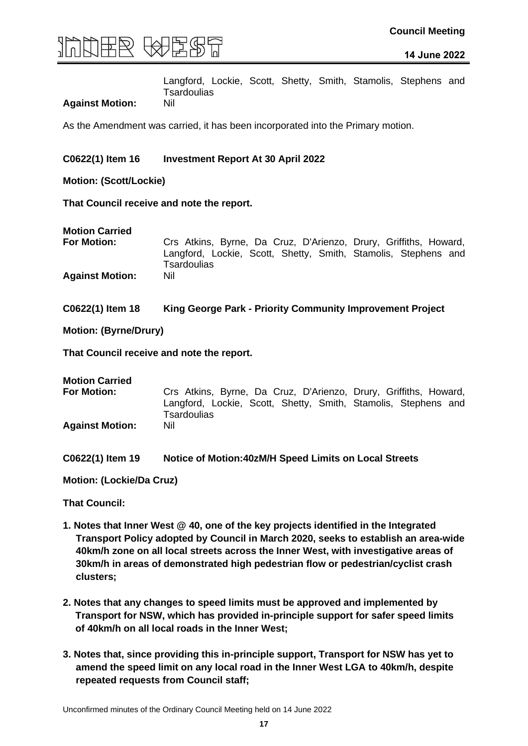

Langford, Lockie, Scott, Shetty, Smith, Stamolis, Stephens and **Tsardoulias** 

#### **Against Motion:** Nil

As the Amendment was carried, it has been incorporated into the Primary motion.

#### **C0622(1) Item 16 Investment Report At 30 April 2022**

**Motion: (Scott/Lockie)** 

**That Council receive and note the report.**

**For Motion:** Crs Atkins, Byrne, Da Cruz, D'Arienzo, Drury, Griffiths, Howard, Langford, Lockie, Scott, Shetty, Smith, Stamolis, Stephens and **Tsardoulias Against Motion:** Nil

**C0622(1) Item 18 King George Park - Priority Community Improvement Project**

**Motion: (Byrne/Drury)**

**That Council receive and note the report.**

**Motion Carried**

**For Motion:** Crs Atkins, Byrne, Da Cruz, D'Arienzo, Drury, Griffiths, Howard, Langford, Lockie, Scott, Shetty, Smith, Stamolis, Stephens and **Tsardoulias Against Motion:** Nil

**C0622(1) Item 19 Notice of Motion:40zM/H Speed Limits on Local Streets**

**Motion: (Lockie/Da Cruz)** 

- **1. Notes that Inner West @ 40, one of the key projects identified in the Integrated Transport Policy adopted by Council in March 2020, seeks to establish an area-wide 40km/h zone on all local streets across the Inner West, with investigative areas of 30km/h in areas of demonstrated high pedestrian flow or pedestrian/cyclist crash clusters;**
- **2. Notes that any changes to speed limits must be approved and implemented by Transport for NSW, which has provided in-principle support for safer speed limits of 40km/h on all local roads in the Inner West;**
- **3. Notes that, since providing this in-principle support, Transport for NSW has yet to amend the speed limit on any local road in the Inner West LGA to 40km/h, despite repeated requests from Council staff;**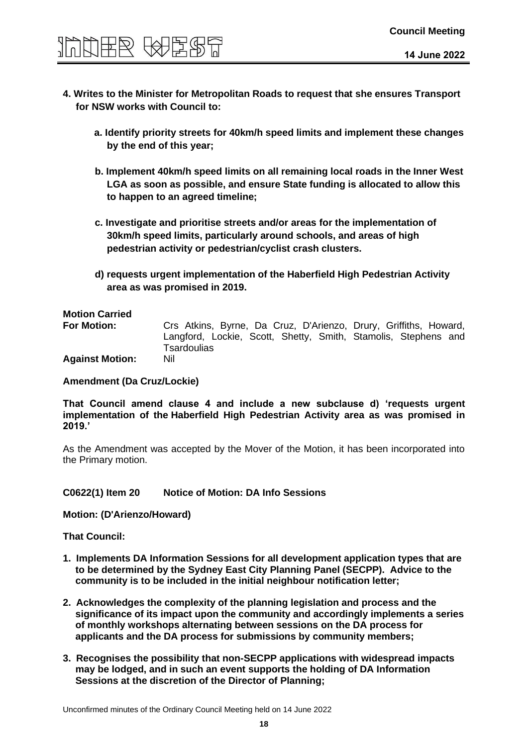

- **4. Writes to the Minister for Metropolitan Roads to request that she ensures Transport for NSW works with Council to:** 
	- **a. Identify priority streets for 40km/h speed limits and implement these changes by the end of this year;**
	- **b. Implement 40km/h speed limits on all remaining local roads in the Inner West LGA as soon as possible, and ensure State funding is allocated to allow this to happen to an agreed timeline;**
	- **c. Investigate and prioritise streets and/or areas for the implementation of 30km/h speed limits, particularly around schools, and areas of high pedestrian activity or pedestrian/cyclist crash clusters.**
	- **d) requests urgent implementation of the Haberfield High Pedestrian Activity area as was promised in 2019.**

### **Motion Carried**

**For Motion:** Crs Atkins, Byrne, Da Cruz, D'Arienzo, Drury, Griffiths, Howard, Langford, Lockie, Scott, Shetty, Smith, Stamolis, Stephens and **Tsardoulias** 

**Against Motion:** Nil

#### **Amendment (Da Cruz/Lockie)**

**That Council amend clause 4 and include a new subclause d) 'requests urgent implementation of the Haberfield High Pedestrian Activity area as was promised in 2019.'**

As the Amendment was accepted by the Mover of the Motion, it has been incorporated into the Primary motion.

#### **C0622(1) Item 20 Notice of Motion: DA Info Sessions**

**Motion: (D'Arienzo/Howard)** 

- **1. Implements DA Information Sessions for all development application types that are to be determined by the Sydney East City Planning Panel (SECPP). Advice to the community is to be included in the initial neighbour notification letter;**
- **2. Acknowledges the complexity of the planning legislation and process and the significance of its impact upon the community and accordingly implements a series of monthly workshops alternating between sessions on the DA process for applicants and the DA process for submissions by community members;**
- **3. Recognises the possibility that non-SECPP applications with widespread impacts may be lodged, and in such an event supports the holding of DA Information Sessions at the discretion of the Director of Planning;**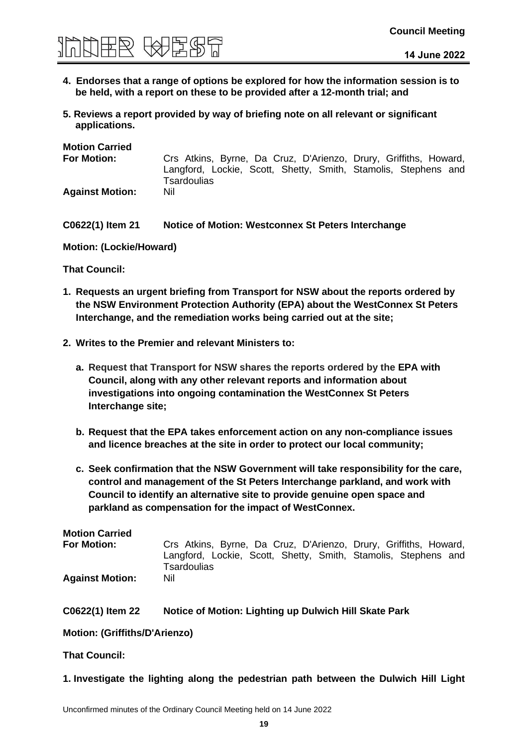

- **4. Endorses that a range of options be explored for how the information session is to be held, with a report on these to be provided after a 12-month trial; and**
- **5. Reviews a report provided by way of briefing note on all relevant or significant applications.**

| <b>Motion Carried</b>  |                                                                               |
|------------------------|-------------------------------------------------------------------------------|
| <b>For Motion:</b>     | Crs Atkins, Byrne, Da Cruz, D'Arienzo, Drury, Griffiths, Howard,              |
|                        | Langford, Lockie, Scott, Shetty, Smith, Stamolis, Stephens and<br>Tsardoulias |
| <b>Against Motion:</b> | Nil                                                                           |

#### **C0622(1) Item 21 Notice of Motion: Westconnex St Peters Interchange**

**Motion: (Lockie/Howard)** 

**That Council:**

- **1. Requests an urgent briefing from Transport for NSW about the reports ordered by the NSW Environment Protection Authority (EPA) about the WestConnex St Peters Interchange, and the remediation works being carried out at the site;**
- **2. Writes to the Premier and relevant Ministers to:**
	- **a. Request that Transport for NSW shares the reports ordered by the EPA with Council, along with any other relevant reports and information about investigations into ongoing contamination the WestConnex St Peters Interchange site;**
	- **b. Request that the EPA takes enforcement action on any non-compliance issues and licence breaches at the site in order to protect our local community;**
	- **c. Seek confirmation that the NSW Government will take responsibility for the care, control and management of the St Peters Interchange parkland, and work with Council to identify an alternative site to provide genuine open space and parkland as compensation for the impact of WestConnex.**

| <b>Motion Carried</b>  |                                                                               |
|------------------------|-------------------------------------------------------------------------------|
| <b>For Motion:</b>     | Crs Atkins, Byrne, Da Cruz, D'Arienzo, Drury, Griffiths, Howard,              |
|                        | Langford, Lockie, Scott, Shetty, Smith, Stamolis, Stephens and<br>Tsardoulias |
| <b>Against Motion:</b> | Nil                                                                           |

| C0622(1) Item 22 | Notice of Motion: Lighting up Dulwich Hill Skate Park |
|------------------|-------------------------------------------------------|
|                  |                                                       |

**Motion: (Griffiths/D'Arienzo)** 

**That Council:**

**1. Investigate the lighting along the pedestrian path between the Dulwich Hill Light**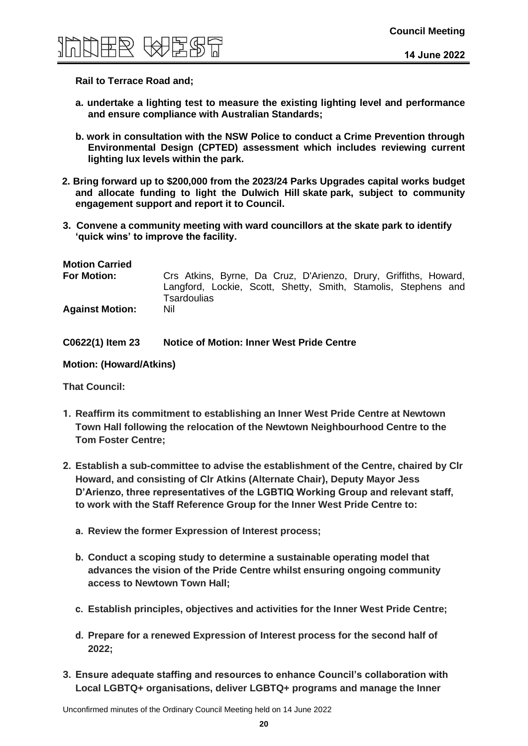

#### **Rail to Terrace Road and;**

- **a. undertake a lighting test to measure the existing lighting level and performance and ensure compliance with Australian Standards;**
- **b. work in consultation with the NSW Police to conduct a Crime Prevention through Environmental Design (CPTED) assessment which includes reviewing current lighting lux levels within the park.**
- **2. Bring forward up to \$200,000 from the 2023/24 Parks Upgrades capital works budget and allocate funding to light the Dulwich Hill skate park, subject to community engagement support and report it to Council.**
- **3. Convene a community meeting with ward councillors at the skate park to identify 'quick wins' to improve the facility.**

| <b>Motion Carried</b><br><b>For Motion:</b> | Crs Atkins, Byrne, Da Cruz, D'Arienzo, Drury, Griffiths, Howard,                     |  |  |
|---------------------------------------------|--------------------------------------------------------------------------------------|--|--|
|                                             | Langford, Lockie, Scott, Shetty, Smith, Stamolis, Stephens and<br><b>Tsardoulias</b> |  |  |
| <b>Against Motion:</b>                      | Nil                                                                                  |  |  |

**C0622(1) Item 23 Notice of Motion: Inner West Pride Centre**

**Motion: (Howard/Atkins)** 

- **1. Reaffirm its commitment to establishing an Inner West Pride Centre at Newtown Town Hall following the relocation of the Newtown Neighbourhood Centre to the Tom Foster Centre;**
- **2. Establish a sub-committee to advise the establishment of the Centre, chaired by Clr Howard, and consisting of Clr Atkins (Alternate Chair), Deputy Mayor Jess D'Arienzo, three representatives of the LGBTIQ Working Group and relevant staff, to work with the Staff Reference Group for the Inner West Pride Centre to:**
	- **a. Review the former Expression of Interest process;**
	- **b. Conduct a scoping study to determine a sustainable operating model that advances the vision of the Pride Centre whilst ensuring ongoing community access to Newtown Town Hall;**
	- **c. Establish principles, objectives and activities for the Inner West Pride Centre;**
	- **d. Prepare for a renewed Expression of Interest process for the second half of 2022;**
- **3. Ensure adequate staffing and resources to enhance Council's collaboration with Local LGBTQ+ organisations, deliver LGBTQ+ programs and manage the Inner**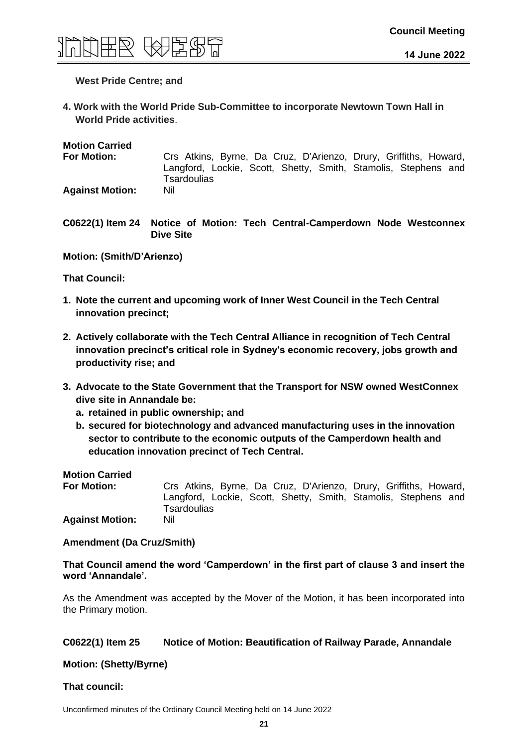

#### **West Pride Centre; and**

**4. Work with the World Pride Sub-Committee to incorporate Newtown Town Hall in World Pride activities**.

**Motion Carried**

**For Motion:** Crs Atkins, Byrne, Da Cruz, D'Arienzo, Drury, Griffiths, Howard, Langford, Lockie, Scott, Shetty, Smith, Stamolis, Stephens and **Tsardoulias Against Motion:** Nil

**C0622(1) Item 24 Notice of Motion: Tech Central-Camperdown Node Westconnex Dive Site**

**Motion: (Smith/D'Arienzo)** 

**That Council:**

- **1. Note the current and upcoming work of Inner West Council in the Tech Central innovation precinct;**
- **2. Actively collaborate with the Tech Central Alliance in recognition of Tech Central innovation precinct's critical role in Sydney's economic recovery, jobs growth and productivity rise; and**
- **3. Advocate to the State Government that the Transport for NSW owned WestConnex dive site in Annandale be:**
	- **a. retained in public ownership; and**
	- **b. secured for biotechnology and advanced manufacturing uses in the innovation sector to contribute to the economic outputs of the Camperdown health and education innovation precinct of Tech Central.**

**Motion Carried**

**For Motion:** Crs Atkins, Byrne, Da Cruz, D'Arienzo, Drury, Griffiths, Howard, Langford, Lockie, Scott, Shetty, Smith, Stamolis, Stephens and **Tsardoulias Against Motion:** Nil

**Amendment (Da Cruz/Smith)** 

**That Council amend the word 'Camperdown' in the first part of clause 3 and insert the word 'Annandale'.**

As the Amendment was accepted by the Mover of the Motion, it has been incorporated into the Primary motion.

#### **C0622(1) Item 25 Notice of Motion: Beautification of Railway Parade, Annandale**

**Motion: (Shetty/Byrne)** 

#### **That council:**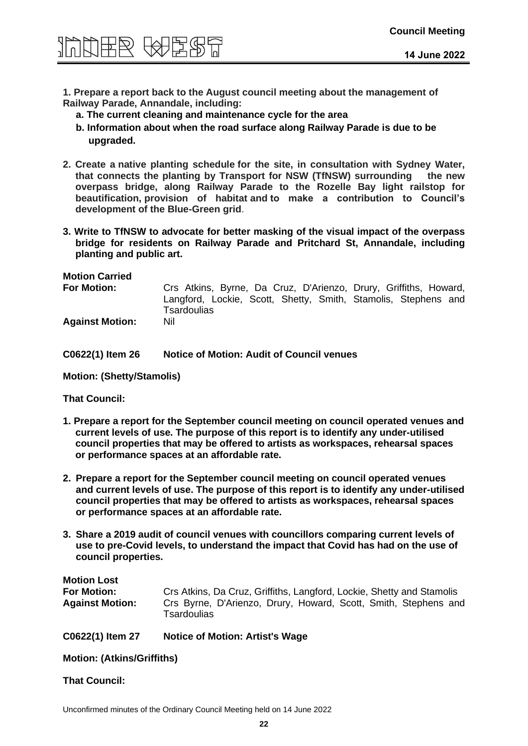

**1. Prepare a report back to the August council meeting about the management of Railway Parade, Annandale, including:**

- **a. The current cleaning and maintenance cycle for the area**
- **b. Information about when the road surface along Railway Parade is due to be upgraded.**
- **2. Create a native planting schedule for the site, in consultation with Sydney Water, that connects the planting by Transport for NSW (TfNSW) surrounding the new overpass bridge, along Railway Parade to the Rozelle Bay light railstop for beautification, provision of habitat and to make a contribution to Council's development of the Blue-Green grid**.
- **3. Write to TfNSW to advocate for better masking of the visual impact of the overpass bridge for residents on Railway Parade and Pritchard St, Annandale, including planting and public art.**

**Motion Carried**

**For Motion:** Crs Atkins, Byrne, Da Cruz, D'Arienzo, Drury, Griffiths, Howard, Langford, Lockie, Scott, Shetty, Smith, Stamolis, Stephens and **Tsardoulias Against Motion:** Nil

**C0622(1) Item 26 Notice of Motion: Audit of Council venues**

**Motion: (Shetty/Stamolis)** 

**That Council:**

- **1. Prepare a report for the September council meeting on council operated venues and current levels of use. The purpose of this report is to identify any under-utilised council properties that may be offered to artists as workspaces, rehearsal spaces or performance spaces at an affordable rate.**
- **2. Prepare a report for the September council meeting on council operated venues and current levels of use. The purpose of this report is to identify any under-utilised council properties that may be offered to artists as workspaces, rehearsal spaces or performance spaces at an affordable rate.**
- **3. Share a 2019 audit of council venues with councillors comparing current levels of use to pre-Covid levels, to understand the impact that Covid has had on the use of council properties.**

| <b>Motion Lost</b>     |                                                                                |
|------------------------|--------------------------------------------------------------------------------|
| <b>For Motion:</b>     | Crs Atkins, Da Cruz, Griffiths, Langford, Lockie, Shetty and Stamolis          |
| <b>Against Motion:</b> | Crs Byrne, D'Arienzo, Drury, Howard, Scott, Smith, Stephens and<br>Tsardoulias |

**C0622(1) Item 27 Notice of Motion: Artist's Wage**

**Motion: (Atkins/Griffiths)**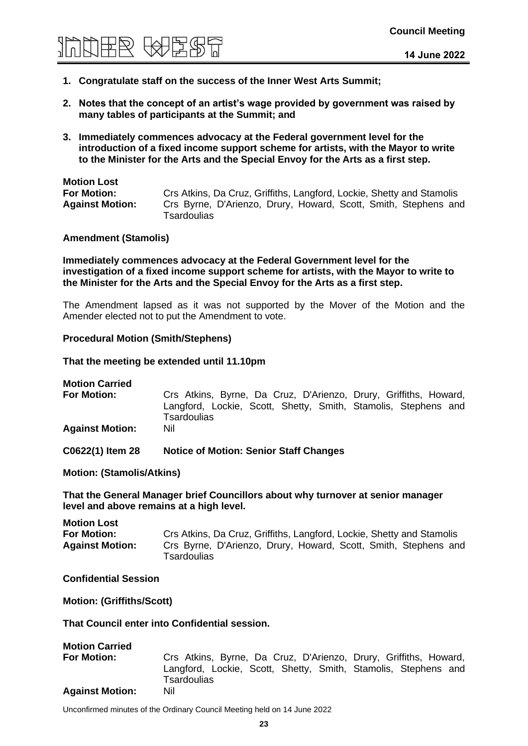

- **1. Congratulate staff on the success of the Inner West Arts Summit;**
- **2. Notes that the concept of an artist's wage provided by government was raised by many tables of participants at the Summit; and**
- **3. Immediately commences advocacy at the Federal government level for the introduction of a fixed income support scheme for artists, with the Mayor to write to the Minister for the Arts and the Special Envoy for the Arts as a first step.**

### **Motion Lost**

**For Motion:** Crs Atkins, Da Cruz, Griffiths, Langford, Lockie, Shetty and Stamolis **Against Motion:** Crs Byrne, D'Arienzo, Drury, Howard, Scott, Smith, Stephens and **Tsardoulias** 

#### **Amendment (Stamolis)**

**Immediately commences advocacy at the Federal Government level for the investigation of a fixed income support scheme for artists, with the Mayor to write to the Minister for the Arts and the Special Envoy for the Arts as a first step.** 

The Amendment lapsed as it was not supported by the Mover of the Motion and the Amender elected not to put the Amendment to vote.

#### **Procedural Motion (Smith/Stephens)**

**That the meeting be extended until 11.10pm**

**Motion Carried**

**For Motion:** Crs Atkins, Byrne, Da Cruz, D'Arienzo, Drury, Griffiths, Howard, Langford, Lockie, Scott, Shetty, Smith, Stamolis, Stephens and **Tsardoulias Against Motion:** Nil

**C0622(1) Item 28 Notice of Motion: Senior Staff Changes**

**Motion: (Stamolis/Atkins)** 

**That the General Manager brief Councillors about why turnover at senior manager level and above remains at a high level.**

**Motion Lost For Motion:** Crs Atkins, Da Cruz, Griffiths, Langford, Lockie, Shetty and Stamolis **Against Motion:** Crs Byrne, D'Arienzo, Drury, Howard, Scott, Smith, Stephens and **Tsardoulias** 

#### **Confidential Session**

**Motion: (Griffiths/Scott)**

#### **That Council enter into Confidential session.**

| <b>Motion Carried</b>  |                                                                                                                                    |
|------------------------|------------------------------------------------------------------------------------------------------------------------------------|
| <b>For Motion:</b>     | Crs Atkins, Byrne, Da Cruz, D'Arienzo, Drury, Griffiths, Howard,<br>Langford, Lockie, Scott, Shetty, Smith, Stamolis, Stephens and |
|                        | Tsardoulias                                                                                                                        |
| <b>Against Motion:</b> | Nil                                                                                                                                |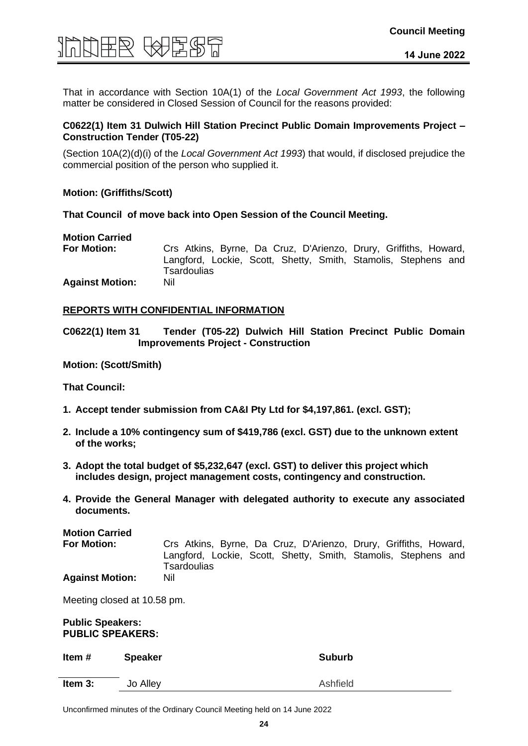

That in accordance with Section 10A(1) of the *Local Government Act 1993*, the following matter be considered in Closed Session of Council for the reasons provided:

#### **C0622(1) Item 31 Dulwich Hill Station Precinct Public Domain Improvements Project – Construction Tender (T05-22)**

(Section 10A(2)(d)(i) of the *Local Government Act 1993*) that would, if disclosed prejudice the commercial position of the person who supplied it.

#### **Motion: (Griffiths/Scott)**

**That Council of move back into Open Session of the Council Meeting.**

## **Motion Carried**

**For Motion:** Crs Atkins, Byrne, Da Cruz, D'Arienzo, Drury, Griffiths, Howard, Langford, Lockie, Scott, Shetty, Smith, Stamolis, Stephens and **Tsardoulias Against Motion:** Nil

#### **REPORTS WITH CONFIDENTIAL INFORMATION**

**C0622(1) Item 31 Tender (T05-22) Dulwich Hill Station Precinct Public Domain Improvements Project - Construction**

#### **Motion: (Scott/Smith)**

**That Council:**

- **1. Accept tender submission from CA&I Pty Ltd for \$4,197,861. (excl. GST);**
- **2. Include a 10% contingency sum of \$419,786 (excl. GST) due to the unknown extent of the works;**
- **3. Adopt the total budget of \$5,232,647 (excl. GST) to deliver this project which includes design, project management costs, contingency and construction.**
- **4. Provide the General Manager with delegated authority to execute any associated documents.**

**Motion Carried For Motion:** Crs Atkins, Byrne, Da Cruz, D'Arienzo, Drury, Griffiths, Howard, Langford, Lockie, Scott, Shetty, Smith, Stamolis, Stephens and **Tsardoulias Against Motion:** Nil

Meeting closed at 10.58 pm.

#### **Public Speakers: PUBLIC SPEAKERS:**

| Item#   | <b>Speaker</b> | <b>Suburb</b> |
|---------|----------------|---------------|
| Item 3: | Jo Alley       | Ashfield      |